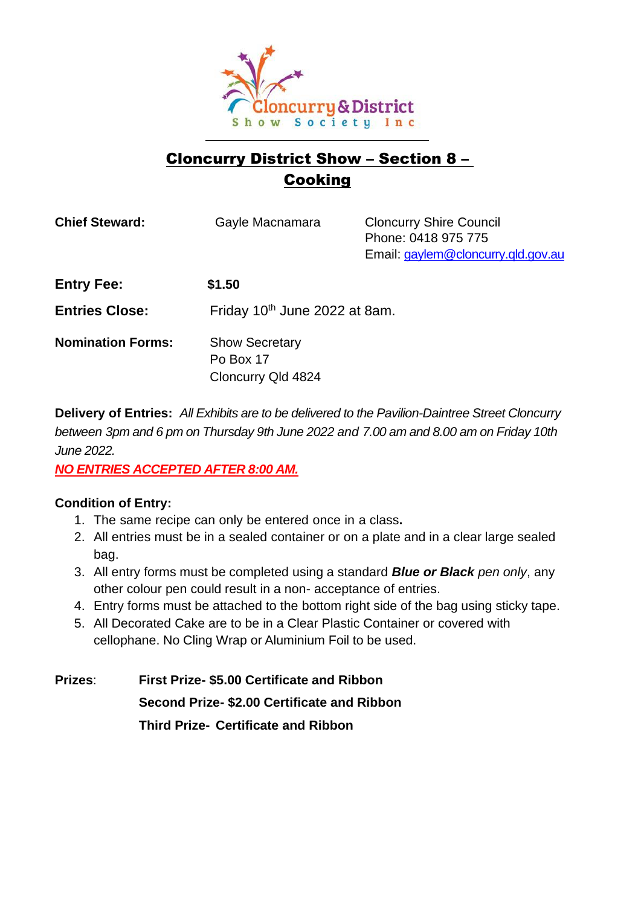

# Cloncurry District Show – Section 8 – **Cooking**

| <b>Chief Steward:</b>    | Gayle Macnamara                                          | <b>Cloncurry Shire Council</b><br>Phone: 0418 975 775<br>Email: gaylem@cloncurry.qld.gov.au |
|--------------------------|----------------------------------------------------------|---------------------------------------------------------------------------------------------|
| <b>Entry Fee:</b>        | \$1.50                                                   |                                                                                             |
| <b>Entries Close:</b>    | Friday 10th June 2022 at 8am.                            |                                                                                             |
| <b>Nomination Forms:</b> | <b>Show Secretary</b><br>Po Box 17<br>Cloncurry Qld 4824 |                                                                                             |

**Delivery of Entries:** *All Exhibits are to be delivered to the Pavilion-Daintree Street Cloncurry between 3pm and 6 pm on Thursday 9th June 2022 and 7.00 am and 8.00 am on Friday 10th June 2022.* 

*NO ENTRIES ACCEPTED AFTER 8:00 AM.*

## **Condition of Entry:**

- 1. The same recipe can only be entered once in a class**.**
- 2. All entries must be in a sealed container or on a plate and in a clear large sealed bag.
- 3. All entry forms must be completed using a standard *Blue or Black pen only*, any other colour pen could result in a non- acceptance of entries.
- 4. Entry forms must be attached to the bottom right side of the bag using sticky tape.
- 5. All Decorated Cake are to be in a Clear Plastic Container or covered with cellophane. No Cling Wrap or Aluminium Foil to be used.

**Prizes**: **First Prize- \$5.00 Certificate and Ribbon Second Prize- \$2.00 Certificate and Ribbon Third Prize- Certificate and Ribbon**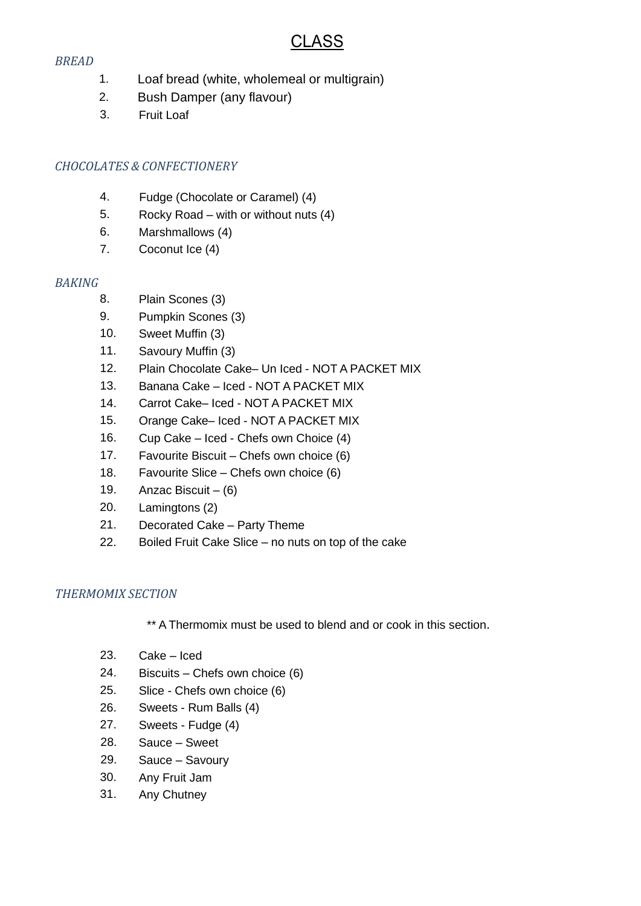# CLASS

#### *BREAD*

- 1. Loaf bread (white, wholemeal or multigrain)
- 2. Bush Damper (any flavour)
- 3. Fruit Loaf

## *CHOCOLATES & CONFECTIONERY*

- 4. Fudge (Chocolate or Caramel) (4)
- 5. Rocky Road with or without nuts (4)
- 6. Marshmallows (4)
- 7. Coconut Ice (4)

### *BAKING*

- 8. Plain Scones (3)
- 9. Pumpkin Scones (3)
- 10. Sweet Muffin (3)
- 11. Savoury Muffin (3)
- 12. Plain Chocolate Cake– Un Iced NOT A PACKET MIX
- 13. Banana Cake Iced NOT A PACKET MIX
- 14. Carrot Cake– Iced NOT A PACKET MIX
- 15. Orange Cake– Iced NOT A PACKET MIX
- 16. Cup Cake Iced Chefs own Choice (4)
- 17. Favourite Biscuit Chefs own choice (6)
- 18. Favourite Slice Chefs own choice (6)
- 19. Anzac Biscuit  $-$  (6)
- 20. Lamingtons (2)
- 21. Decorated Cake Party Theme
- 22. Boiled Fruit Cake Slice no nuts on top of the cake

#### *THERMOMIX SECTION*

\*\* A Thermomix must be used to blend and or cook in this section.

- 23. Cake Iced
- 24. Biscuits Chefs own choice (6)
- 25. Slice Chefs own choice (6)
- 26. Sweets Rum Balls (4)
- 27. Sweets Fudge (4)
- 28. Sauce Sweet
- 29. Sauce Savoury
- 30. Any Fruit Jam
- 31. Any Chutney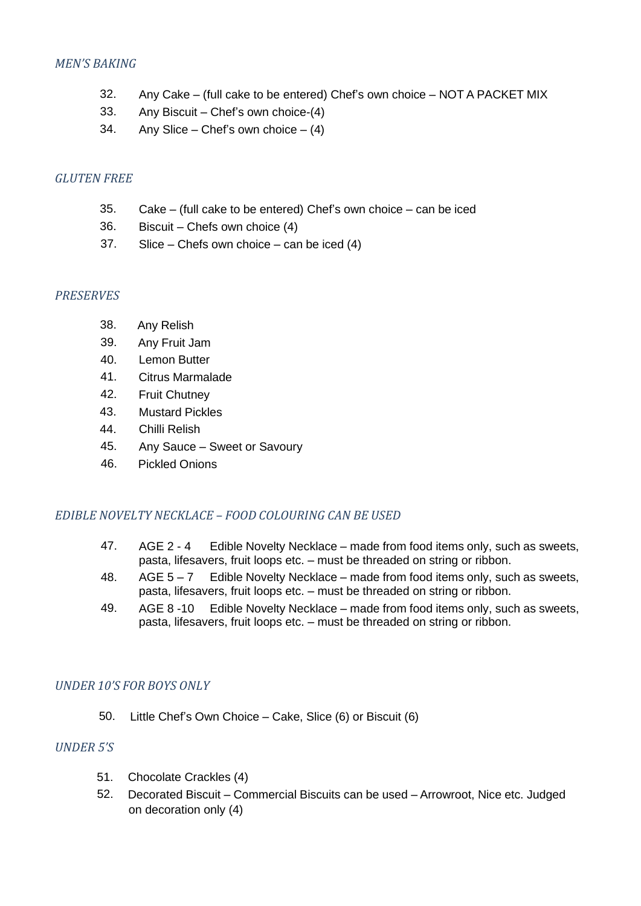### *MEN'S BAKING*

- 32. Any Cake (full cake to be entered) Chef's own choice NOT A PACKET MIX
- 33. Any Biscuit Chef's own choice-(4)
- 34. Any Slice Chef's own choice  $(4)$

### *GLUTEN FREE*

- 35. Cake (full cake to be entered) Chef's own choice can be iced
- 36. Biscuit Chefs own choice (4)
- 37. Slice Chefs own choice can be iced (4)

### *PRESERVES*

- 38. Any Relish
- 39. Any Fruit Jam
- 40. Lemon Butter
- 41. Citrus Marmalade
- 42. Fruit Chutney
- 43. Mustard Pickles
- 44. Chilli Relish
- 45. Any Sauce Sweet or Savoury
- 46. Pickled Onions

#### *EDIBLE NOVELTY NECKLACE – FOOD COLOURING CAN BE USED*

- 47. AGE 2 4 Edible Novelty Necklace made from food items only, such as sweets, pasta, lifesavers, fruit loops etc. – must be threaded on string or ribbon.
- 48. AGE 5 7 Edible Novelty Necklace made from food items only, such as sweets, pasta, lifesavers, fruit loops etc. – must be threaded on string or ribbon.
- 49. AGE 8 -10 Edible Novelty Necklace made from food items only, such as sweets, pasta, lifesavers, fruit loops etc. – must be threaded on string or ribbon.

## *UNDER 10'S FOR BOYS ONLY*

50. Little Chef's Own Choice – Cake, Slice (6) or Biscuit (6)

### *UNDER 5'S*

- 51. Chocolate Crackles (4)
- 52. Decorated Biscuit Commercial Biscuits can be used Arrowroot, Nice etc. Judged on decoration only (4)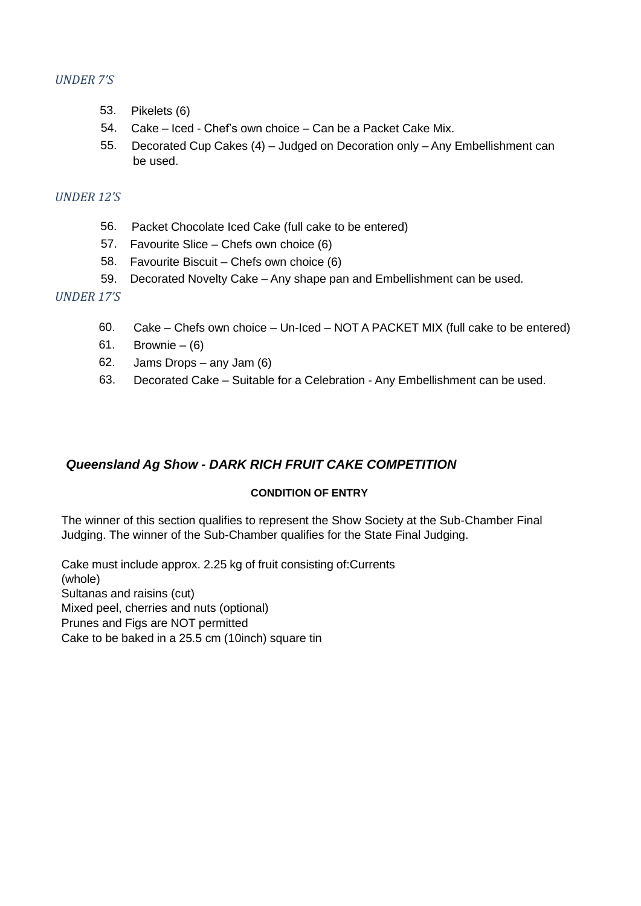### *UNDER 7'S*

- 53. Pikelets (6)
- 54. Cake Iced Chef's own choice Can be a Packet Cake Mix.
- 55. Decorated Cup Cakes (4) Judged on Decoration only Any Embellishment can be used.

#### *UNDER 12'S*

- 56. Packet Chocolate Iced Cake (full cake to be entered)
- 57. Favourite Slice Chefs own choice (6)
- 58. Favourite Biscuit Chefs own choice (6)
- 59. Decorated Novelty Cake Any shape pan and Embellishment can be used.

### *UNDER 17'S*

- 60. Cake Chefs own choice Un-Iced NOT A PACKET MIX (full cake to be entered)
- 61. Brownie  $(6)$
- 62. Jams Drops any Jam (6)
- 63. Decorated Cake Suitable for a Celebration Any Embellishment can be used.

## *Queensland Ag Show - DARK RICH FRUIT CAKE COMPETITION*

#### **CONDITION OF ENTRY**

The winner of this section qualifies to represent the Show Society at the Sub-Chamber Final Judging. The winner of the Sub-Chamber qualifies for the State Final Judging.

Cake must include approx. 2.25 kg of fruit consisting of:Currents (whole) Sultanas and raisins (cut) Mixed peel, cherries and nuts (optional) Prunes and Figs are NOT permitted Cake to be baked in a 25.5 cm (10inch) square tin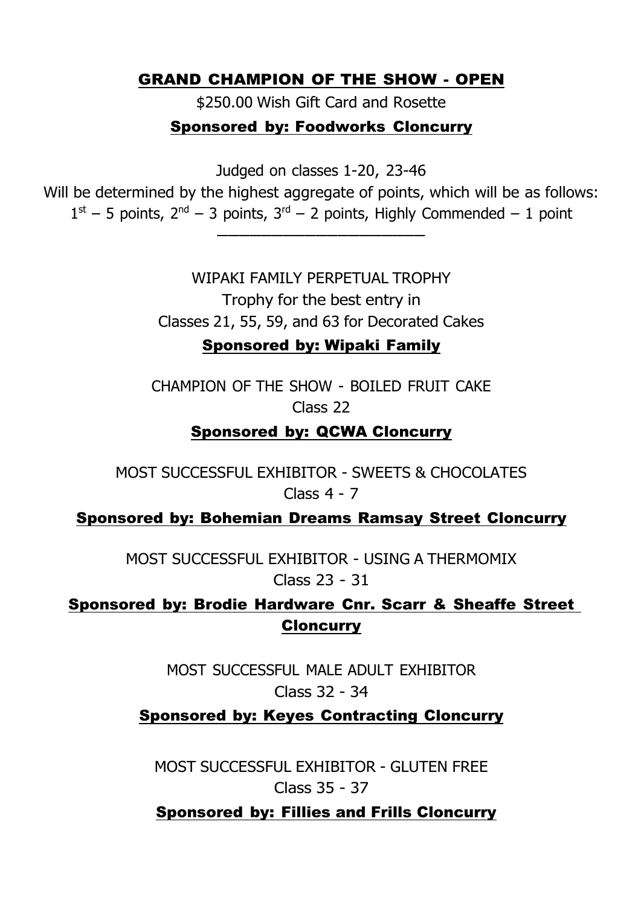# GRAND CHAMPION OF THE SHOW - OPEN

\$250.00 Wish Gift Card and Rosette

# Sponsored by: Foodworks Cloncurry

Judged on classes 1-20, 23-46

Will be determined by the highest aggregate of points, which will be as follows:  $1<sup>st</sup> - 5$  points,  $2<sup>nd</sup> - 3$  points,  $3<sup>rd</sup> - 2$  points, Highly Commended - 1 point

———————————————————

WIPAKI FAMILY PERPETUAL TROPHY Trophy for the best entry in Classes 21, 55, 59, and 63 for Decorated Cakes

# Sponsored by: Wipaki Family

CHAMPION OF THE SHOW - BOILED FRUIT CAKE Class 22

# Sponsored by: QCWA Cloncurry

MOST SUCCESSFUL EXHIBITOR - SWEETS & CHOCOLATES Class 4 - 7

Sponsored by: Bohemian Dreams Ramsay Street Cloncurry

MOST SUCCESSFUL EXHIBITOR - USING A THERMOMIX Class 23 - 31

Sponsored by: Brodie Hardware Cnr. Scarr & Sheaffe Street **Cloncurry** 

> MOST SUCCESSFUL MALE ADULT EXHIBITOR Class 32 - 34

# Sponsored by: Keyes Contracting Cloncurry

MOST SUCCESSFUL EXHIBITOR - GLUTEN FREE Class 35 - 37

Sponsored by: Fillies and Frills Cloncurry